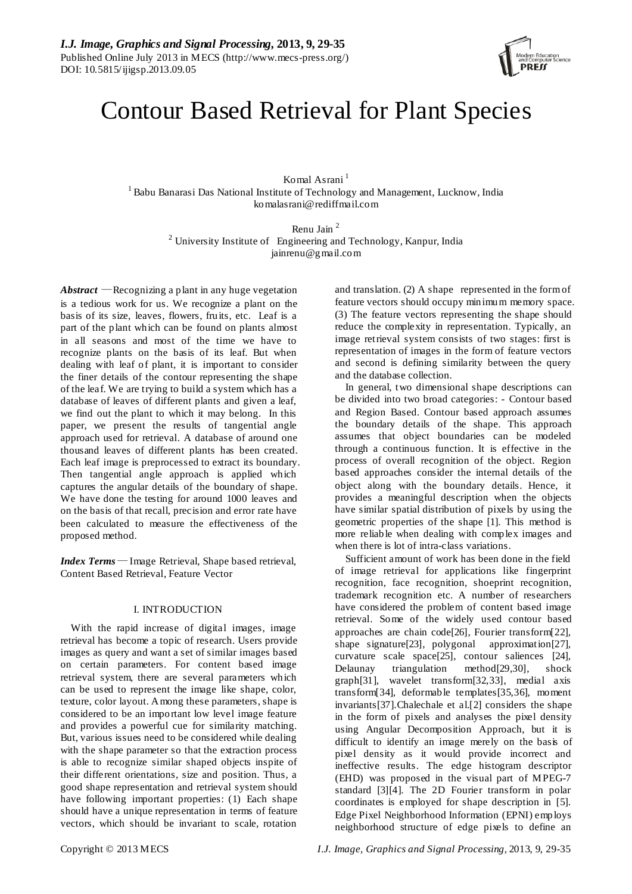

# Contour Based Retrieval for Plant Species

Komal Asrani<sup>1</sup> <sup>1</sup> Babu Banarasi Das National Institute of Technology and Management, Lucknow, India komalasrani@rediffmail.com

> Renu Jain 2  $2$  University Institute of Engineering and Technology, Kanpur, India jainrenu@gmail.com

*Abstract* — Recognizing a plant in any huge vegetation is a tedious work for us. We recognize a plant on the basis of its size, leaves, flowers, fruits, etc. Leaf is a part of the plant which can be found on plants almost in all seasons and most of the time we have to recognize plants on the basis of its leaf. But when dealing with leaf of plant, it is important to consider the finer details of the contour representing the shape of the leaf. We are trying to build a system which has a database of leaves of different plants and given a leaf, we find out the plant to which it may belong. In this paper, we present the results of tangential angle approach used for retrieval. A database of around one thousand leaves of different plants has been created. Each leaf image is preprocessed to extract its boundary. Then tangential angle approach is applied which captures the angular details of the boundary of shape. We have done the testing for around 1000 leaves and on the basis of that recall, precision and error rate have been calculated to measure the effectiveness of the proposed method.

*Index Terms*— Image Retrieval, Shape based retrieval, Content Based Retrieval, Feature Vector

# I. INTRODUCTION

With the rapid increase of digital images, image retrieval has become a topic of research. Users provide images as query and want a set of similar images based on certain parameters. For content based image retrieval system, there are several parameters which can be used to represent the image like shape, color, texture, color layout. Among these parameters, shape is considered to be an important low level image feature and provides a powerful cue for similarity matching. But, various issues need to be considered while dealing with the shape parameter so that the extraction process is able to recognize similar shaped objects inspite of their different orientations, size and position. Thus, a good shape representation and retrieval system should have following important properties: (1) Each shape should have a unique representation in terms of feature vectors, which should be invariant to scale, rotation

and translation. (2) A shape represented in the form of feature vectors should occupy minimum memory space. (3) The feature vectors representing the shape should reduce the complexity in representation. Typically, an image retrieval system consists of two stages: first is representation of images in the form of feature vectors and second is defining similarity between the query and the database collection.

In general, two dimensional shape descriptions can be divided into two broad categories: - Contour based and Region Based. Contour based approach assumes the boundary details of the shape. This approach assumes that object boundaries can be modeled through a continuous function. It is effective in the process of overall recognition of the object. Region based approaches consider the internal details of the object along with the boundary details. Hence, it provides a meaningful description when the objects have similar spatial distribution of pixels by using the geometric properties of the shape [1]. This method is more reliable when dealing with complex images and when there is lot of intra-class variations.

Sufficient amount of work has been done in the field of image retrieval for applications like fingerprint recognition, face recognition, shoeprint recognition, trademark recognition etc. A number of researchers have considered the problem of content based image retrieval. Some of the widely used contour based approaches are chain code[26], Fourier transform[22], shape signature[23], polygonal approximation[27], curvature scale space[25], contour saliences [24], Delaunay triangulation method[29,30], shock graph[31], wavelet transform[32,33], medial axis transform[34], deformable templates[35,36], moment invariants[37].Chalechale et al.[2] considers the shape in the form of pixels and analyses the pixel density using Angular Decomposition Approach, but it is difficult to identify an image merely on the basis of pixel density as it would provide incorrect and ineffective results. The edge histogram descriptor (EHD) was proposed in the visual part of MPEG-7 standard [3][4]. The 2D Fourier transform in polar coordinates is employed for shape description in [5]. Edge Pixel Neighborhood Information (EPNI) employs neighborhood structure of edge pixels to define an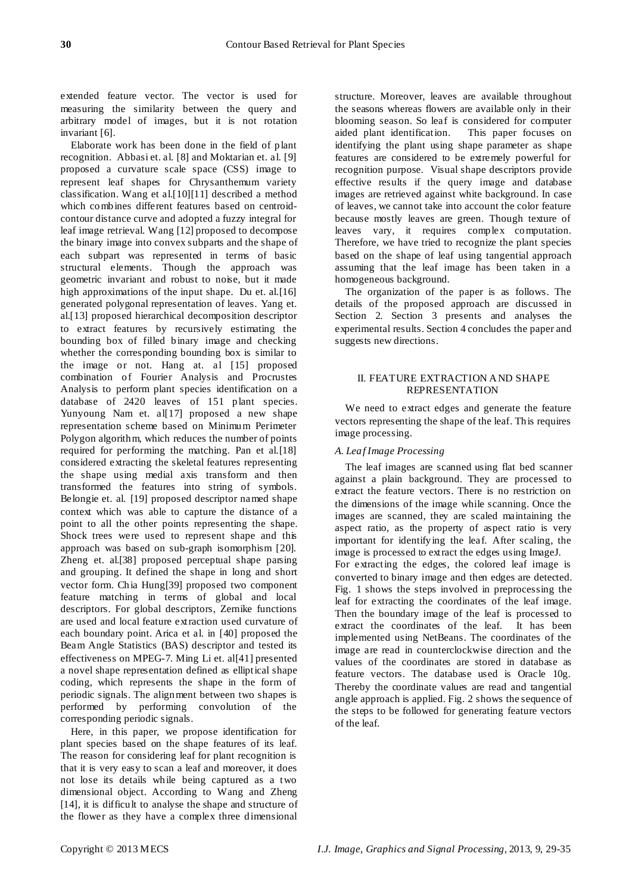extended feature vector. The vector is used for measuring the similarity between the query and arbitrary model of images, but it is not rotation invariant [6].

Elaborate work has been done in the field of plant recognition. Abbasi et. al. [8] and Moktarian et. al. [9] proposed a curvature scale space (CSS) image to represent leaf shapes for Chrysanthemum variety classification. Wang et al.[10][11] described a method which combines different features based on centroidcontour distance curve and adopted a fuzzy integral for leaf image retrieval. Wang [12] proposed to decompose the binary image into convex subparts and the shape of each subpart was represented in terms of basic structural elements. Though the approach was geometric invariant and robust to noise, but it made high approximations of the input shape. Du et. al. [16] generated polygonal representation of leaves. Yang et. al.[13] proposed hierarchical decomposition descriptor to extract features by recursively estimating the bounding box of filled binary image and checking whether the corresponding bounding box is similar to the image or not. Hang at. al [15] proposed combination of Fourier Analysis and Procrustes Analysis to perform plant species identification on a database of 2420 leaves of 151 plant species. Yunyoung Nam et. all<sup>[17]</sup> proposed a new shape representation scheme based on Minimum Perimeter Polygon algorithm, which reduces the number of points required for performing the matching. Pan et al.[18] considered extracting the skeletal features representing the shape using medial axis transform and then transformed the features into string of symbols. Belongie et. al. [19] proposed descriptor named shape context which was able to capture the distance of a point to all the other points representing the shape. Shock trees were used to represent shape and this approach was based on sub-graph isomorphism [20]. Zheng et. al.[38] proposed perceptual shape parsing and grouping. It defined the shape in long and short vector form. Chia Hung[39] proposed two component feature matching in terms of global and local descriptors. For global descriptors, Zernike functions are used and local feature extraction used curvature of each boundary point. Arica et al. in [40] proposed the Beam Angle Statistics (BAS) descriptor and tested its effectiveness on MPEG-7. Ming Li et. al[41] presented a novel shape representation defined as elliptical shape coding, which represents the shape in the form of periodic signals. The alignment between two shapes is performed by performing convolution of the corresponding periodic signals.

Here, in this paper, we propose identification for plant species based on the shape features of its leaf. The reason for considering leaf for plant recognition is that it is very easy to scan a leaf and moreover, it does not lose its details while being captured as a two dimensional object. According to Wang and Zheng [14], it is difficult to analyse the shape and structure of the flower as they have a complex three dimensional

structure. Moreover, leaves are available throughout the seasons whereas flowers are available only in their blooming season. So leaf is considered for computer aided plant identification. This paper focuses on identifying the plant using shape parameter as shape features are considered to be extremely powerful for recognition purpose. Visual shape descriptors provide effective results if the query image and database images are retrieved against white background. In case of leaves, we cannot take into account the color feature because mostly leaves are green. Though texture of leaves vary, it requires complex computation. Therefore, we have tried to recognize the plant species based on the shape of leaf using tangential approach assuming that the leaf image has been taken in a homogeneous background.

The organization of the paper is as follows. The details of the proposed approach are discussed in Section 2. Section 3 presents and analyses the experimental results. Section 4 concludes the paper and suggests new directions.

## II. FEATURE EXTRACTION AND SHAPE REPRESENTATION

We need to extract edges and generate the feature vectors representing the shape of the leaf. This requires image processing.

# *A. Leaf Image Processing*

The leaf images are scanned using flat bed scanner against a plain background. They are processed to extract the feature vectors. There is no restriction on the dimensions of the image while scanning. Once the images are scanned, they are scaled maintaining the aspect ratio, as the property of aspect ratio is very important for identifying the leaf. After scaling, the image is processed to extract the edges using ImageJ. For extracting the edges, the colored leaf image is converted to binary image and then edges are detected. Fig. 1 shows the steps involved in preprocessing the leaf for extracting the coordinates of the leaf image. Then the boundary image of the leaf is processed to extract the coordinates of the leaf. It has been implemented using NetBeans. The coordinates of the image are read in counterclockwise direction and the values of the coordinates are stored in database as feature vectors. The database used is Oracle 10g. Thereby the coordinate values are read and tangential angle approach is applied. Fig. 2 shows the sequence of the steps to be followed for generating feature vectors of the leaf.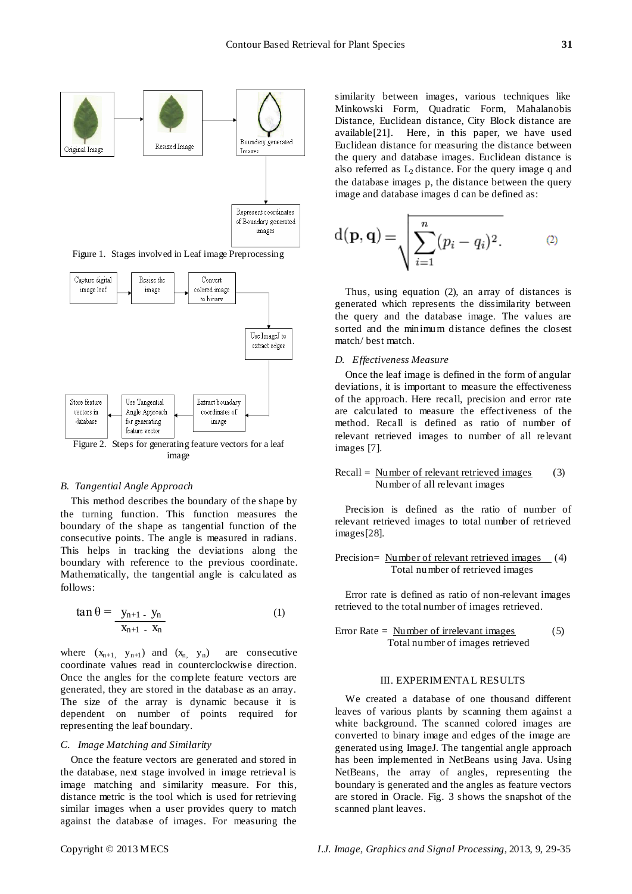

Figure 1. Stages involved in Leaf image Preprocessing



#### *B. Tangential Angle Approach*

This method describes the boundary of the shape by the turning function. This function measures the boundary of the shape as tangential function of the consecutive points. The angle is measured in radians. This helps in tracking the deviations along the boundary with reference to the previous coordinate. Mathematically, the tangential angle is calculated as follows:

$$
\tan \theta = \frac{y_{n+1} - y_n}{x_{n+1} - x_n}
$$
 (1)

where  $(x_{n+1}, y_{n+1})$  and  $(x_n, y_n)$  are consecutive coordinate values read in counterclockwise direction. Once the angles for the complete feature vectors are generated, they are stored in the database as an array. The size of the array is dynamic because it is dependent on number of points required for representing the leaf boundary.

### *C. Image Matching and Similarity*

Once the feature vectors are generated and stored in the database, next stage involved in image retrieval is image matching and similarity measure. For this, distance metric is the tool which is used for retrieving similar images when a user provides query to match against the database of images. For measuring the

similarity between images, various techniques like Minkowski Form, Quadratic Form, Mahalanobis Distance, Euclidean distance, City Block distance are available[21]. Here, in this paper, we have used Euclidean distance for measuring the distance between the query and database images. Euclidean distance is also referred as  $L_2$  distance. For the query image q and the database images p, the distance between the query image and database images d can be defined as:

$$
d(\mathbf{p}, \mathbf{q}) = \sqrt{\sum_{i=1}^{n} (p_i - q_i)^2}.
$$
 (2)

Thus, using equation (2), an array of distances is generated which represents the dissimilarity between the query and the database image. The values are sorted and the minimum distance defines the closest match/ best match.

#### *D. Effectiveness Measure*

Once the leaf image is defined in the form of angular deviations, it is important to measure the effectiveness of the approach. Here recall, precision and error rate are calculated to measure the effectiveness of the method. Recall is defined as ratio of number of relevant retrieved images to number of all relevant images [7].

#### $Recall =$  Number of relevant retrieved images Number of all relevant images (3)

Precision is defined as the ratio of number of relevant retrieved images to total number of retrieved images[28].

Precision= Number of relevant retrieved images Total number of retrieved images (4)

Error rate is defined as ratio of non-relevant images retrieved to the total number of images retrieved.

Error Rate = 
$$
\frac{Number of irrelevant images}{Total number of images retrieved}
$$
 (5)

# III. EXPERIMENTAL RESULTS

We created a database of one thousand different leaves of various plants by scanning them against a white background. The scanned colored images are converted to binary image and edges of the image are generated using ImageJ. The tangential angle approach has been implemented in NetBeans using Java. Using NetBeans, the array of angles, representing the boundary is generated and the angles as feature vectors are stored in Oracle. Fig. 3 shows the snapshot of the scanned plant leaves.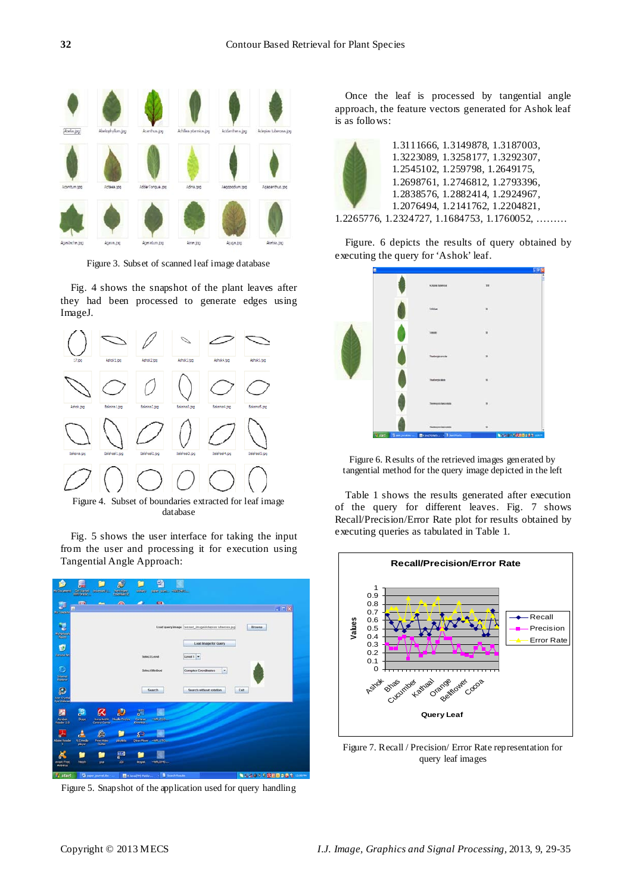

Figure 3. Subset of scanned leaf image database

Fig. 4 shows the snapshot of the plant leaves after they had been processed to generate edges using ImageJ.



Figure 4. Subset of boundaries extracted for leaf image database

Fig. 5 shows the user interface for taking the input from the user and processing it for execution using Tangential Angle Approach:

| Ny Rosemann                            |                                      | <b>Catalogue protected</b>                          | Æ<br><b>SUBJECT</b>       | 1203231                                             | 邼<br>9100 000 - 402040 |                                                             |        |
|----------------------------------------|--------------------------------------|-----------------------------------------------------|---------------------------|-----------------------------------------------------|------------------------|-------------------------------------------------------------|--------|
| 题<br>No formator                       | <b>Fig.</b><br>в                     | <b>Am</b>                                           | $\overline{\phantom{a}}$  | ×.                                                  | <b>Ca</b>              |                                                             | $-10X$ |
| E<br>W tenan                           |                                      |                                                     |                           |                                                     |                        | Load query image cessed_image\Adepias tuberosa.jpg<br>Bowse |        |
| Ū<br><b>Scouts for</b>                 |                                      |                                                     |                           |                                                     | Select Level           | Load Image for Guery<br>Level 1 =                           |        |
| c<br>istunet<br>Auskalen               |                                      |                                                     |                           |                                                     | Select Method          | ٠<br>Complex Coordinates                                    |        |
| ρ<br><b>Acer Coystal</b><br>Eye Webcar |                                      |                                                     |                           |                                                     | Search                 | Search without rotation<br><b>Exit</b>                      |        |
| Z<br>Arabat<br>Reader 5.0              | ,S<br>Shoe                           | Avira Antilin.<br><b>Control Germen</b>             | m.<br>n.<br>Modia Finding | <b>THE</b><br>$\mathbf{E}$<br>Continue.<br>Downloam | $-0.0102440$           |                                                             |        |
| a.<br>Addie Reader                     | n and<br><b>Vidi media</b><br>player | <sub>h</sub> e <sub>b</sub><br>Free Video<br>Guitar | pinylets                  | <b>S</b><br>Otras Player                            | <b>AVRILITIES</b>      |                                                             |        |
| avast! Free<br>Anthritum               | htmh                                 | por                                                 | Lidi<br><b>LEd</b>        | deepat                                              | -MRL0949               |                                                             |        |
| <b>Ta</b> start                        |                                      | Gli paper jaumai.doc-                               |                           | 4 JavaCTHO Platfor                                  |                        | 無理性病の全国前回の命令 (2003)<br>Search Renato                        |        |

Figure 5. Snapshot of the application used for query handling

Once the leaf is processed by tangential angle approach, the feature vectors generated for Ashok leaf is as follows:



1.3111666, 1.3149878, 1.3187003, 1.3223089, 1.3258177, 1.3292307, 1.2545102, 1.259798, 1.2649175, 1.2698761, 1.2746812, 1.2793396, 1.2838576, 1.2882414, 1.2924967, 1.2076494, 1.2141762, 1.2204821,

1.2265776, 1.2324727, 1.1684753, 1.1760052, ………

Figure. 6 depicts the results of query obtained by executing the query for 'Ashok' leaf.



Figure 6. Results of the retrieved images generated by tangential method for the query image depicted in the left

Table 1 shows the results generated after execution of the query for different leaves. Fig. 7 shows Recall/Precision/Error Rate plot for results obtained by executing queries as tabulated in Table 1.



Figure 7. Recall / Precision/ Error Rate representation for query leaf images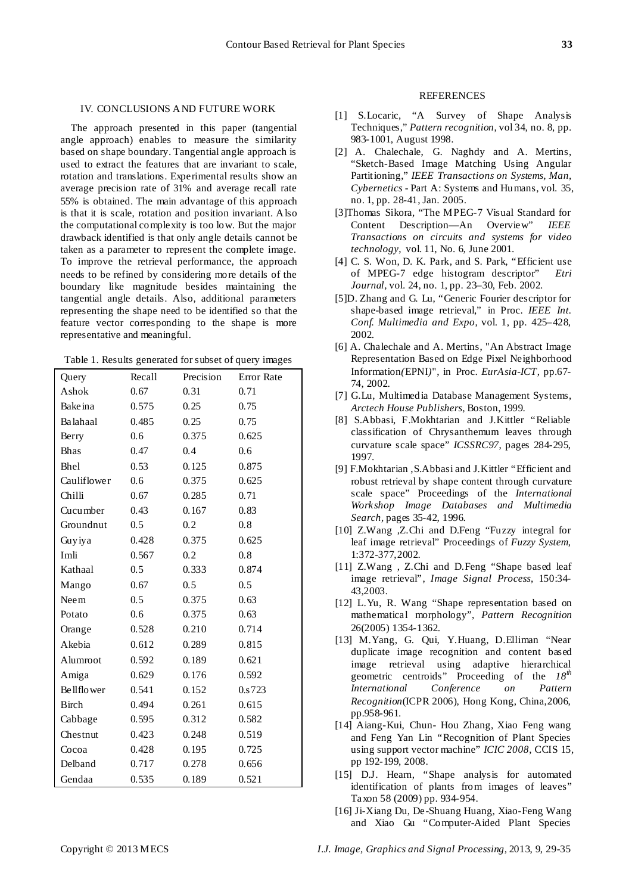#### IV. CONCLUSIONS AND FUTURE WORK

The approach presented in this paper (tangential angle approach) enables to measure the similarity based on shape boundary. Tangential angle approach is used to extract the features that are invariant to scale, rotation and translations. Experimental results show an average precision rate of 31% and average recall rate 55% is obtained. The main advantage of this approach is that it is scale, rotation and position invariant. Also the computational complexity is too low. But the major drawback identified is that only angle details cannot be taken as a parameter to represent the complete image. To improve the retrieval performance, the approach needs to be refined by considering more details of the boundary like magnitude besides maintaining the tangential angle details. Also, additional parameters representing the shape need to be identified so that the feature vector corresponding to the shape is more representative and meaningful.

| Table 1. Results generated for subset of query images |  |  |
|-------------------------------------------------------|--|--|

| Query             | Recall        | Precision | Error Rate |
|-------------------|---------------|-----------|------------|
| Ashok             | 0.67          | 0.31      | 0.71       |
| Bake ina          | 0.575         | 0.25      | 0.75       |
| Balahaal          | 0.485         | 0.25      | 0.75       |
| Berry             | 0.6           | 0.375     | 0.625      |
| <b>Bhas</b>       | 0.47          | 0.4       | 0.6        |
| Bhel              | 0.53          | 0.125     | 0.875      |
| Cauliflower       | 0.6           | 0.375     | 0.625      |
| Chilli            | 0.67          | 0.285     | 0.71       |
| Cucumber          | 0.43          | 0.167     | 0.83       |
| Groundnut         | 0.5           | 0.2       | 0.8        |
| Guyiya            | 0.428         | 0.375     | 0.625      |
| Imli              | 0.567         | 0.2       | 0.8        |
| Kathaal           | 0.5           | 0.333     | 0.874      |
| Mango             | 0.67          | 0.5       | 0.5        |
| Neem              | $0.5^{\circ}$ | 0.375     | 0.63       |
| Potato            | 0.6           | 0.375     | 0.63       |
| Orange            | 0.528         | 0.210     | 0.714      |
| Akebia            | 0.612         | 0.289     | 0.815      |
| Alumroot          | 0.592         | 0.189     | 0.621      |
| Amiga             | 0.629         | 0.176     | 0.592      |
| <b>Bellflower</b> | 0.541         | 0.152     | 0.s723     |
| <b>Birch</b>      | 0.494         | 0.261     | 0.615      |
| Cabbage           | 0.595         | 0.312     | 0.582      |
| Chestnut          | 0.423         | 0.248     | 0.519      |
| Cocoa             | 0.428         | 0.195     | 0.725      |
| Delband           | 0.717         | 0.278     | 0.656      |
| Gendaa            | 0.535         | 0.189     | 0.521      |

### REFERENCES

- [1] S.Locaric, "A Survey of Shape Analysis Techniques," *Pattern recognition*, vol 34, no. 8, pp. 983-1001, August 1998.
- [2] A. Chalechale, G. Naghdy and A. Mertins, "Sketch-Based Image Matching Using Angular Partitioning," *IEEE Transactions on Systems, Man, Cybernetics* - Part A: Systems and Humans, vol. 35, no. 1, pp. 28-41, Jan. 2005.
- [3]Thomas Sikora*,* "The MPEG-7 Visual Standard for Content Description—An Overview" *IEEE Transactions on circuits and systems for video technology*, vol. 11, No. 6, June 2001.
- [4] C. S. Won, D. K. Park, and S. Park, "Efficient use of MPEG-7 edge histogram descriptor" *Etri Journal,* vol. 24, no. 1, pp. 23–30, Feb. 2002.
- [5]D. Zhang and G. Lu, "Generic Fourier descriptor for shape-based image retrieval," in Proc. *IEEE Int. Conf. Multimedia and Expo*, vol. 1, pp. 425–428, 2002.
- [6] A. Chalechale and A. Mertins, "An Abstract Image Representation Based on Edge Pixel Neighborhood Information*(*EPNI*)*", in Proc. *EurAsia-ICT*, pp.67- 74, 2002.
- [7] G.Lu, Multimedia Database Management Systems, *Arctech House Publishers*, Boston, 1999.
- [8] S.Abbasi, F.Mokhtarian and J.Kittler "Reliable classification of Chrysanthemum leaves through curvature scale space" *ICSSRC97*, pages 284-295, 1997.
- [9] F.Mokhtarian ,S.Abbasi and J.Kittler "Efficient and robust retrieval by shape content through curvature scale space" Proceedings of the *International Workshop Image Databases and Multimedia Search,* pages 35-42, 1996.
- [10] Z.Wang , Z.Chi and D.Feng "Fuzzy integral for leaf image retrieval" Proceedings of *Fuzzy System*, 1:372-377,2002.
- [11] Z.Wang , Z.Chi and D.Feng "Shape based leaf image retrieval", *Image Signal Process*, 150:34- 43,2003.
- [12] L.Yu, R. Wang "Shape representation based on mathematical morphology", *Pattern Recognition*  26(2005) 1354-1362.
- [13] M.Yang, G. Qui, Y.Huang, D.Elliman "Near duplicate image recognition and content based image retrieval using adaptive hierarchical geometric centroids" Proceeding of the *18th International Conference on Pattern Recognition*(ICPR 2006), Hong Kong, China,2006, pp.958-961.
- [14] Aiang-Kui, Chun- Hou Zhang, Xiao Feng wang and Feng Yan Lin "Recognition of Plant Species using support vector machine" *ICIC 2008*, CCIS 15, pp 192-199, 2008.
- [15] D.J. Hearn, "Shape analysis for automated identification of plants from images of leaves" Taxon 58 (2009) pp. 934-954.
- [16] Ji-Xiang Du, De-Shuang Huang, Xiao-Feng Wang and Xiao Gu "Computer-Aided Plant Species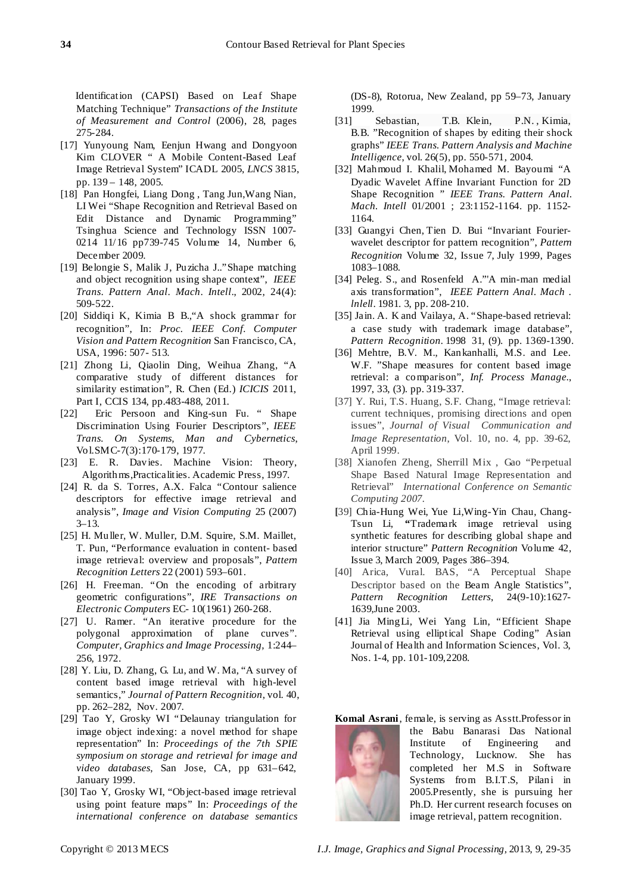Identification (CAPSI) Based on Leaf Shape Matching Technique" *Transactions of the Institute of Measurement and Control* (2006), 28, pages 275-284.

- [17] Yunyoung Nam, Eenjun Hwang and Dongyoon Kim CLOVER " A Mobile Content-Based Leaf Image Retrieval System" ICADL 2005, *LNCS* 3815, pp. 139 – 148, 2005.
- [18] Pan Hongfei, Liang Dong , Tang Jun,Wang Nian, LI Wei "Shape Recognition and Retrieval Based on Edit Distance and Dynamic Programming" Tsinghua Science and Technology ISSN 1007-0214 11/16 pp739-745 Volume 14, Number 6, December 2009.
- [19] Belongie S, Malik J, Puzicha J.."Shape matching and object recognition using shape context", *IEEE Trans*. *Pattern Anal*. *Mach*. *Intell*., 2002, 24(4): 509-522.
- [20] Siddiqi K, Kimia B B.,"A shock grammar for recognition", In: *Proc. IEEE Conf. Computer Vision and Pattern Recognition* San Francisco, CA, USA, 1996: 507- 513.
- [21] Zhong Li, Qiaolin Ding, Weihua Zhang, "A comparative study of different distances for similarity estimation", R. Chen (Ed.) *ICICIS* 2011, Part I, CCIS 134, pp.483-488, 2011.
- [22] Eric Persoon and King-sun Fu. " Shape Discrimination Using Fourier Descriptors", *IEEE Trans. On Systems, Man and Cybernetics*, Vol.SMC-7(3):170-179, 1977.
- [23] E. R. Davies. Machine Vision: Theory, Algorithms,Practicalities. Academic Press, 1997.
- [24] R. da S. Torres, A.X. Falca "Contour salience descriptors for effective image retrieval and analysis", *Image and Vision Computing* 25 (2007) 3–13.
- [25] H. Muller, W. Muller, D.M. Squire, S.M. Maillet, T. Pun, "Performance evaluation in content- based image retrieval: overview and proposals", *Pattern Recognition Letters* 22 (2001) 593–601.
- [26] H. Freeman. "On the encoding of arbitrary geometric configurations", *IRE Transactions on Electronic Computers* EC- 10(1961) 260-268.
- [27] U. Ramer. "An iterative procedure for the polygonal approximation of plane curves". *Computer, Graphics and Image Processing,* 1:244– 256, 1972.
- [28] Y. Liu, D. Zhang, G. Lu, and W. Ma, "A survey of content based image retrieval with high-level semantics," *Journal of Pattern Recognition*, vol. 40, pp. 262–282, Nov. 2007.
- [29] Tao Y, Grosky WI "Delaunay triangulation for image object indexing: a novel method for shape representation" In: *Proceedings of the 7th SPIE symposium on storage and retrieval for image and video databases*, San Jose, CA, pp 631–642, January 1999.
- [30] Tao Y, Grosky WI, "Object-based image retrieval using point feature maps" In: *Proceedings of the international conference on database semantics*

(DS-8), Rotorua, New Zealand, pp 59–73, January

- $1999.$ [31] [Sebastian, T.B.](http://ieeexplore.ieee.org/xpl/login.jsp?tp=&arnumber=1273924&url=http%3A%2F%2Fieeexplore.ieee.org%2Fiel5%2F34%2F28505%2F01273924.pdf%3Farnumber%3D1273924) [Klein, P.N.](http://ieeexplore.ieee.org/xpl/login.jsp?tp=&arnumber=1273924&url=http%3A%2F%2Fieeexplore.ieee.org%2Fiel5%2F34%2F28505%2F01273924.pdf%3Farnumber%3D1273924), Kimia, [B.B.](http://ieeexplore.ieee.org/xpl/login.jsp?tp=&arnumber=1273924&url=http%3A%2F%2Fieeexplore.ieee.org%2Fiel5%2F34%2F28505%2F01273924.pdf%3Farnumber%3D1273924) "Recognition of shapes by editing their shock graphs" *IEEE Trans. Pattern Analysis and Machine Intelligence*, vol. 26(5), pp. 550-571, 2004.
- [32] [Mahmoud I. Khalil,](http://www.researchgate.net/researcher/70944188_Mahmoud_I_Khalil/) [Mohamed M. Bayoumi](http://www.researchgate.net/researcher/70170745_Mohamed_M_Bayoumi/) "A Dyadic Wavelet Affine Invariant Function for 2D Shape Recognition " *IEEE Trans. Pattern Anal. Mach. Intell* 01/2001 ; 23:1152-1164. pp. 1152- 1164.
- [33] [Guangyi](http://www.sciencedirect.com/science/article/pii/S0031320398001484) Chen, [Tien](http://www.sciencedirect.com/science/article/pii/S0031320398001484) D. Bui "Invariant Fourierwavelet descriptor for pattern recognition", *[Pattern](http://www.sciencedirect.com/science/journal/00313203) [Recognition](http://www.sciencedirect.com/science/journal/00313203)* [Volume](http://www.sciencedirect.com/science/journal/00313203/32/7) 32, Issue 7, July 1999, Pages 1083–1088.
- [34] Peleg. S., and Rosenfeld A."'A min-man medial axis transformation", *IEEE Pattern Anal. Mach . lnlell*. 1981. 3, pp. 208-210.
- [35] Jain. A. K and Vailaya, A. "Shape-based retrieval: a case study with trademark image database", *Pattern Recognition.* 1998 31, (9). pp. 1369-1390.
- [36] Mehtre, B.V. M., Kankanhalli, M.S. and Lee. W.F. "Shape measures for content based image retrieval: a comparison", *Inf. Process Manage.*, 1997, 33, (3). pp. 319-337.
- [37] Y. Rui, T.S. Huang, S.F. Chang, "Image retrieval: current techniques, promising directions and open issues", *Journal of Visual Communication and Image Representation*, Vol. 10, no. 4, pp. 39-62, April 1999.
- [38] Xianofen Zheng, Sherrill Mix , Gao "Perpetual Shape Based Natural Image Representation and Retrieval" *International Conference on Semantic Computing 2007.*
- **[**39] [Chia-Hung](http://www.sciencedirect.com/science/article/pii/S0031320308003324) Wei, [Yue](http://www.sciencedirect.com/science/article/pii/S0031320308003324) Li[,Wing-Yin](http://www.sciencedirect.com/science/article/pii/S0031320308003324) Chau, [Chang-](http://www.sciencedirect.com/science/article/pii/S0031320308003324)[Tsun](http://www.sciencedirect.com/science/article/pii/S0031320308003324) Li, **"**Trademark image retrieval using synthetic features for describing global shape and interior structure" *Pattern [Recognition](http://www.sciencedirect.com/science/journal/00313203)* [Volume](http://www.sciencedirect.com/science/journal/00313203/42/3) 42, [Issue](http://www.sciencedirect.com/science/journal/00313203/42/3) 3, March 2009, Pages 386–394.
- [40] Arica, Vural. BAS, "A Perceptual Shape Descriptor based on the Beam Angle Statistics", *Pattern Recognition Letters*, 24(9-10):1627- 1639,June 2003.
- [41] Jia MingLi, Wei Yang Lin, "Efficient Shape Retrieval using elliptical Shape Coding" Asian Journal of Health and Information Sciences, Vol. 3, Nos. 1-4, pp. 101-109,2208.

**Komal Asrani**, female, is serving as Asstt.Professor in



the Babu Banarasi Das National Institute of Engineering and Technology, Lucknow. She has completed her M.S in Software Systems from B.I.T.S, Pilani in 2005.Presently, she is pursuing her Ph.D. Her current research focuses on image retrieval, pattern recognition.